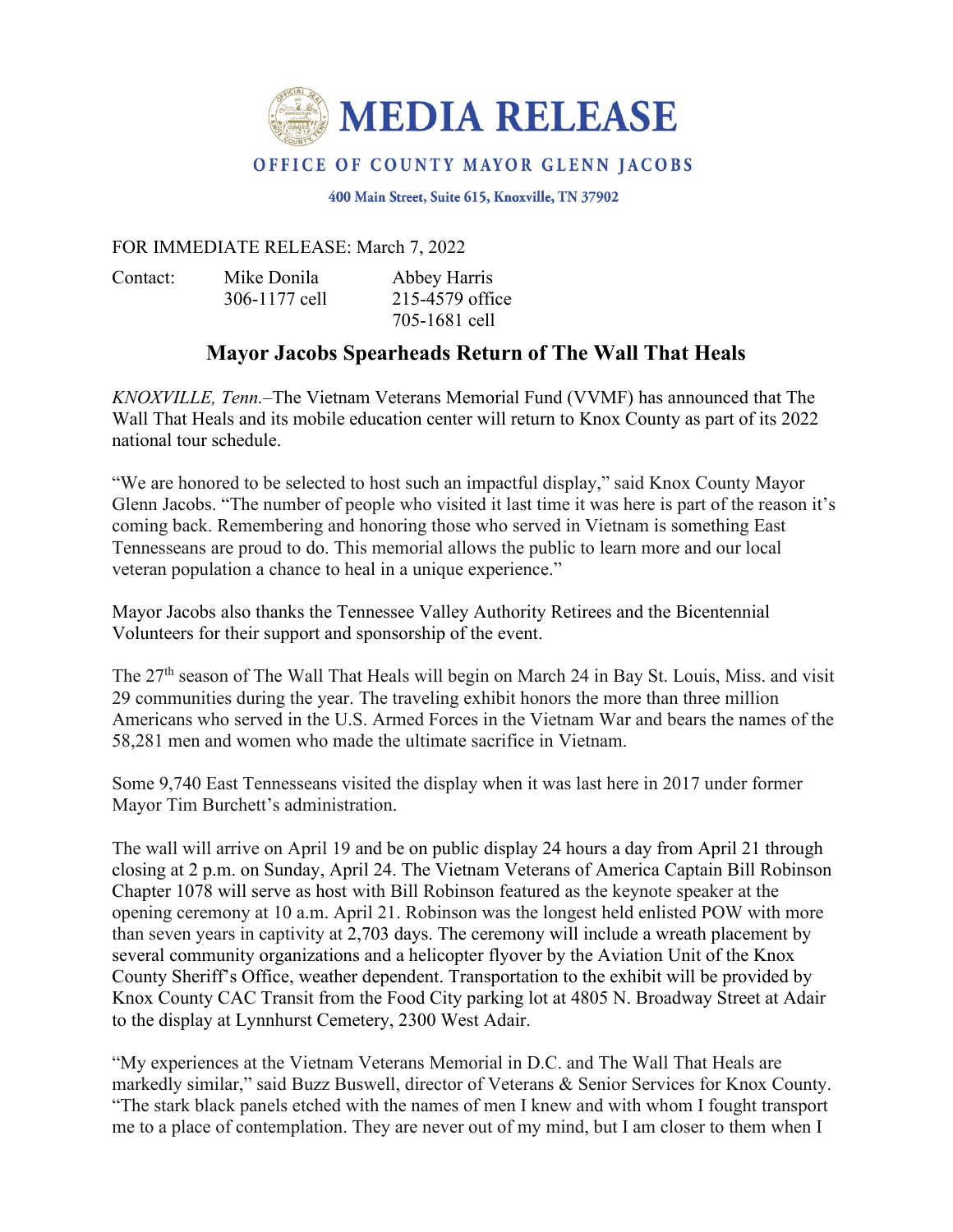

## OFFICE OF COUNTY MAYOR GLENN JACOBS

400 Main Street, Suite 615, Knoxville, TN 37902

## FOR IMMEDIATE RELEASE: March 7, 2022

Contact: Mike Donila Abbey Harris 306-1177 cell 215-4579 office

705-1681 cell

## **Mayor Jacobs Spearheads Return of The Wall That Heals**

*KNOXVILLE, Tenn.*–The Vietnam Veterans Memorial Fund (VVMF) has announced that The Wall That Heals and its mobile education center will return to Knox County as part of its 2022 national tour schedule.

"We are honored to be selected to host such an impactful display," said Knox County Mayor Glenn Jacobs. "The number of people who visited it last time it was here is part of the reason it's coming back. Remembering and honoring those who served in Vietnam is something East Tennesseans are proud to do. This memorial allows the public to learn more and our local veteran population a chance to heal in a unique experience."

Mayor Jacobs also thanks the Tennessee Valley Authority Retirees and the Bicentennial Volunteers for their support and sponsorship of the event.

The 27<sup>th</sup> season of The Wall That Heals will begin on March 24 in Bay St. Louis, Miss. and visit 29 communities during the year. The traveling exhibit honors the more than three million Americans who served in the U.S. Armed Forces in the Vietnam War and bears the names of the 58,281 men and women who made the ultimate sacrifice in Vietnam.

Some 9,740 East Tennesseans visited the display when it was last here in 2017 under former Mayor Tim Burchett's administration.

The wall will arrive on April 19 and be on public display 24 hours a day from April 21 through closing at 2 p.m. on Sunday, April 24. The Vietnam Veterans of America Captain Bill Robinson Chapter 1078 will serve as host with Bill Robinson featured as the keynote speaker at the opening ceremony at 10 a.m. April 21. Robinson was the longest held enlisted POW with more than seven years in captivity at 2,703 days. The ceremony will include a wreath placement by several community organizations and a helicopter flyover by the Aviation Unit of the Knox County Sheriff's Office, weather dependent. Transportation to the exhibit will be provided by Knox County CAC Transit from the Food City parking lot at 4805 N. Broadway Street at Adair to the display at Lynnhurst Cemetery, 2300 West Adair.

"My experiences at the Vietnam Veterans Memorial in D.C. and The Wall That Heals are markedly similar," said Buzz Buswell, director of Veterans & Senior Services for Knox County. "The stark black panels etched with the names of men I knew and with whom I fought transport me to a place of contemplation. They are never out of my mind, but I am closer to them when I